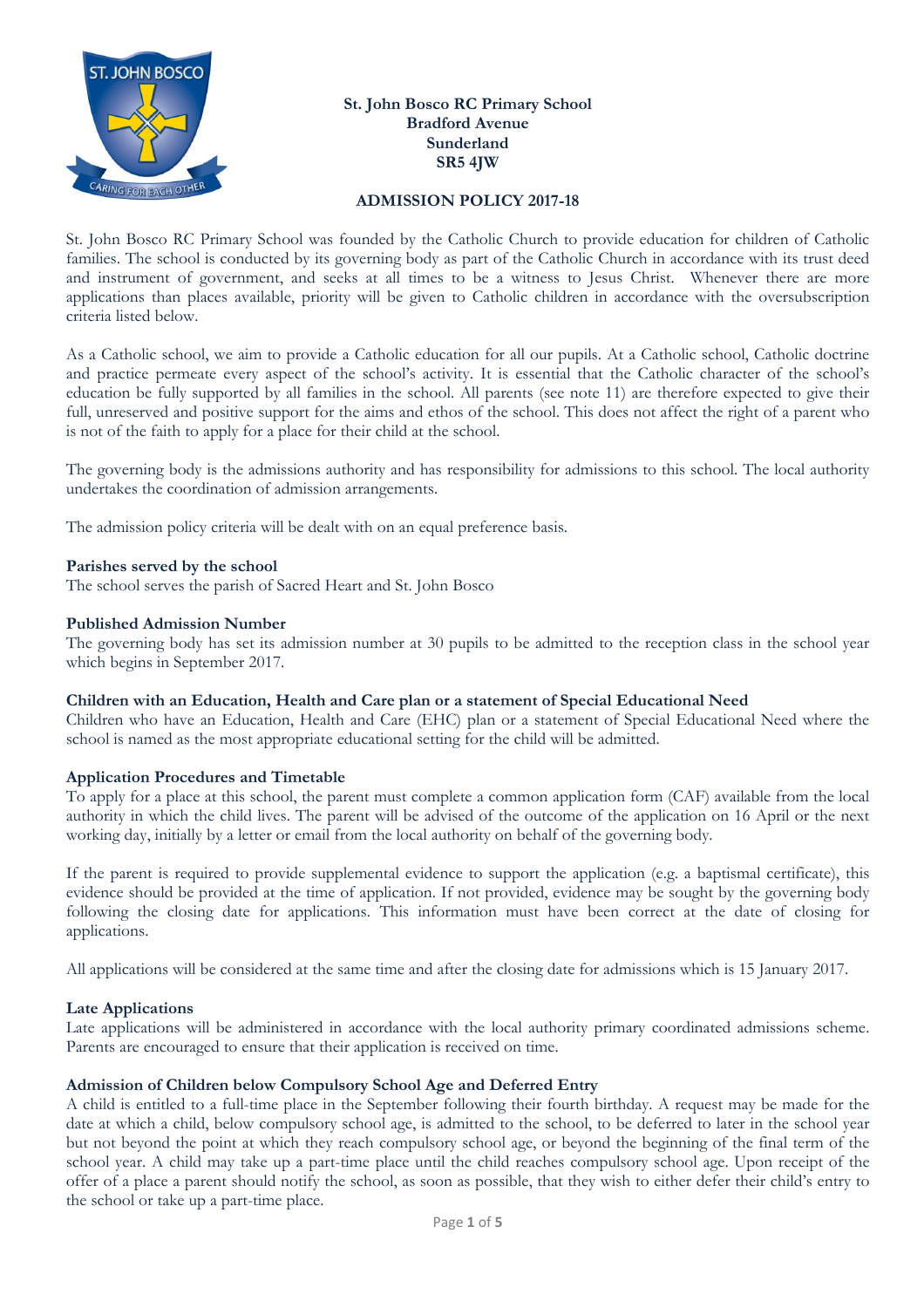

# **St. John Bosco RC Primary School Bradford Avenue Sunderland SR5 4JW**

#### **ADMISSION POLICY 2017-18**

St. John Bosco RC Primary School was founded by the Catholic Church to provide education for children of Catholic families. The school is conducted by its governing body as part of the Catholic Church in accordance with its trust deed and instrument of government, and seeks at all times to be a witness to Jesus Christ. Whenever there are more applications than places available, priority will be given to Catholic children in accordance with the oversubscription criteria listed below.

As a Catholic school, we aim to provide a Catholic education for all our pupils. At a Catholic school, Catholic doctrine and practice permeate every aspect of the school's activity. It is essential that the Catholic character of the school's education be fully supported by all families in the school. All parents (see note 11) are therefore expected to give their full, unreserved and positive support for the aims and ethos of the school. This does not affect the right of a parent who is not of the faith to apply for a place for their child at the school.

The governing body is the admissions authority and has responsibility for admissions to this school. The local authority undertakes the coordination of admission arrangements.

The admission policy criteria will be dealt with on an equal preference basis.

# **Parishes served by the school**

The school serves the parish of Sacred Heart and St. John Bosco

#### **Published Admission Number**

The governing body has set its admission number at 30 pupils to be admitted to the reception class in the school year which begins in September 2017.

#### **Children with an Education, Health and Care plan or a statement of Special Educational Need**

Children who have an Education, Health and Care (EHC) plan or a statement of Special Educational Need where the school is named as the most appropriate educational setting for the child will be admitted.

# **Application Procedures and Timetable**

To apply for a place at this school, the parent must complete a common application form (CAF) available from the local authority in which the child lives. The parent will be advised of the outcome of the application on 16 April or the next working day, initially by a letter or email from the local authority on behalf of the governing body.

If the parent is required to provide supplemental evidence to support the application (e.g. a baptismal certificate), this evidence should be provided at the time of application. If not provided, evidence may be sought by the governing body following the closing date for applications. This information must have been correct at the date of closing for applications.

All applications will be considered at the same time and after the closing date for admissions which is 15 January 2017.

# **Late Applications**

Late applications will be administered in accordance with the local authority primary coordinated admissions scheme. Parents are encouraged to ensure that their application is received on time.

# **Admission of Children below Compulsory School Age and Deferred Entry**

A child is entitled to a full-time place in the September following their fourth birthday. A request may be made for the date at which a child, below compulsory school age, is admitted to the school, to be deferred to later in the school year but not beyond the point at which they reach compulsory school age, or beyond the beginning of the final term of the school year. A child may take up a part-time place until the child reaches compulsory school age. Upon receipt of the offer of a place a parent should notify the school, as soon as possible, that they wish to either defer their child's entry to the school or take up a part-time place.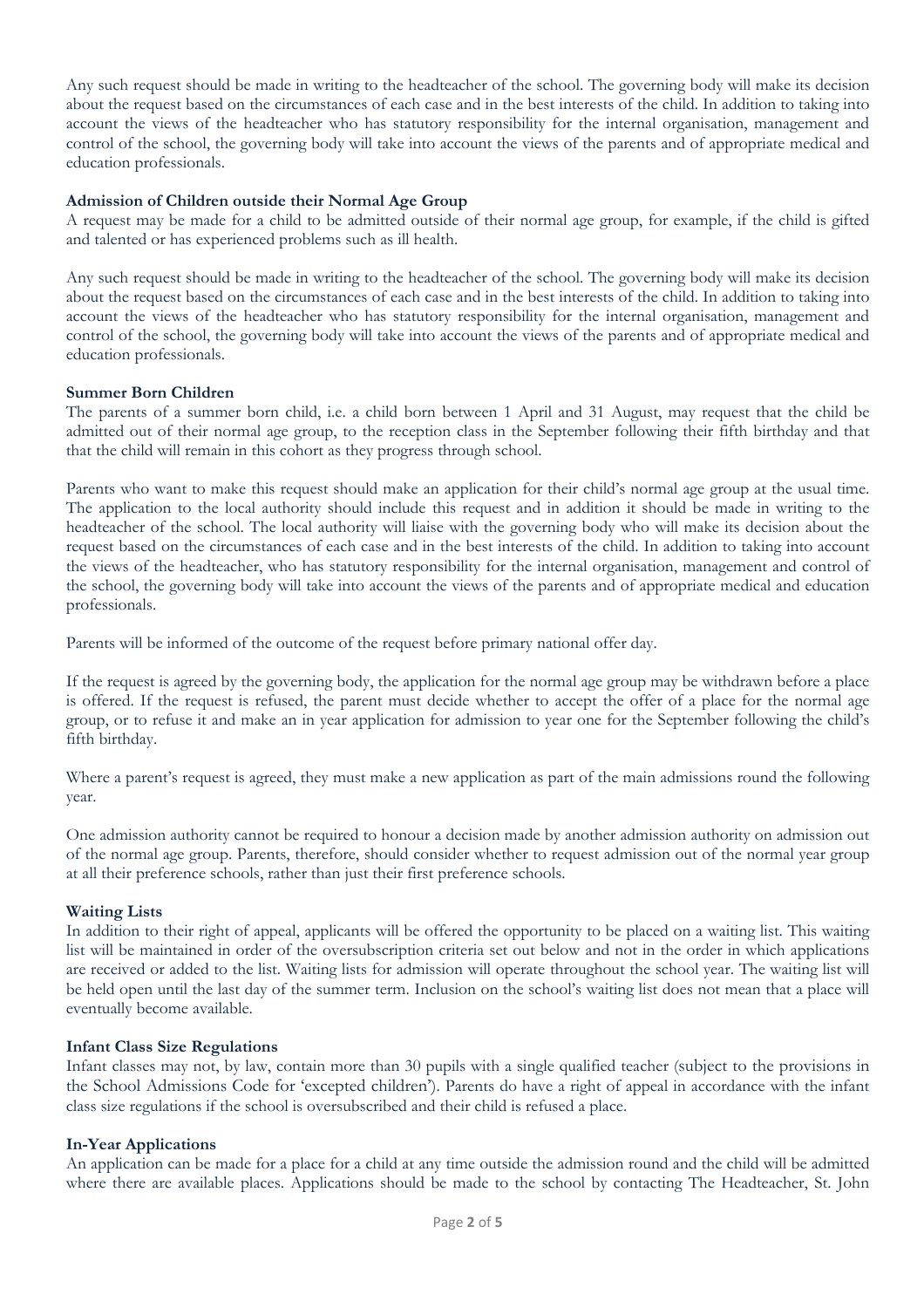Any such request should be made in writing to the headteacher of the school. The governing body will make its decision about the request based on the circumstances of each case and in the best interests of the child. In addition to taking into account the views of the headteacher who has statutory responsibility for the internal organisation, management and control of the school, the governing body will take into account the views of the parents and of appropriate medical and education professionals.

# **Admission of Children outside their Normal Age Group**

A request may be made for a child to be admitted outside of their normal age group, for example, if the child is gifted and talented or has experienced problems such as ill health.

Any such request should be made in writing to the headteacher of the school. The governing body will make its decision about the request based on the circumstances of each case and in the best interests of the child. In addition to taking into account the views of the headteacher who has statutory responsibility for the internal organisation, management and control of the school, the governing body will take into account the views of the parents and of appropriate medical and education professionals.

# **Summer Born Children**

The parents of a summer born child, i.e. a child born between 1 April and 31 August, may request that the child be admitted out of their normal age group, to the reception class in the September following their fifth birthday and that that the child will remain in this cohort as they progress through school.

Parents who want to make this request should make an application for their child's normal age group at the usual time. The application to the local authority should include this request and in addition it should be made in writing to the headteacher of the school. The local authority will liaise with the governing body who will make its decision about the request based on the circumstances of each case and in the best interests of the child. In addition to taking into account the views of the headteacher, who has statutory responsibility for the internal organisation, management and control of the school, the governing body will take into account the views of the parents and of appropriate medical and education professionals.

Parents will be informed of the outcome of the request before primary national offer day.

If the request is agreed by the governing body, the application for the normal age group may be withdrawn before a place is offered. If the request is refused, the parent must decide whether to accept the offer of a place for the normal age group, or to refuse it and make an in year application for admission to year one for the September following the child's fifth birthday.

Where a parent's request is agreed, they must make a new application as part of the main admissions round the following year.

One admission authority cannot be required to honour a decision made by another admission authority on admission out of the normal age group. Parents, therefore, should consider whether to request admission out of the normal year group at all their preference schools, rather than just their first preference schools.

# **Waiting Lists**

In addition to their right of appeal, applicants will be offered the opportunity to be placed on a waiting list. This waiting list will be maintained in order of the oversubscription criteria set out below and not in the order in which applications are received or added to the list. Waiting lists for admission will operate throughout the school year. The waiting list will be held open until the last day of the summer term. Inclusion on the school's waiting list does not mean that a place will eventually become available.

# **Infant Class Size Regulations**

Infant classes may not, by law, contain more than 30 pupils with a single qualified teacher (subject to the provisions in the School Admissions Code for 'excepted children'). Parents do have a right of appeal in accordance with the infant class size regulations if the school is oversubscribed and their child is refused a place.

# **In-Year Applications**

An application can be made for a place for a child at any time outside the admission round and the child will be admitted where there are available places. Applications should be made to the school by contacting The Headteacher, St. John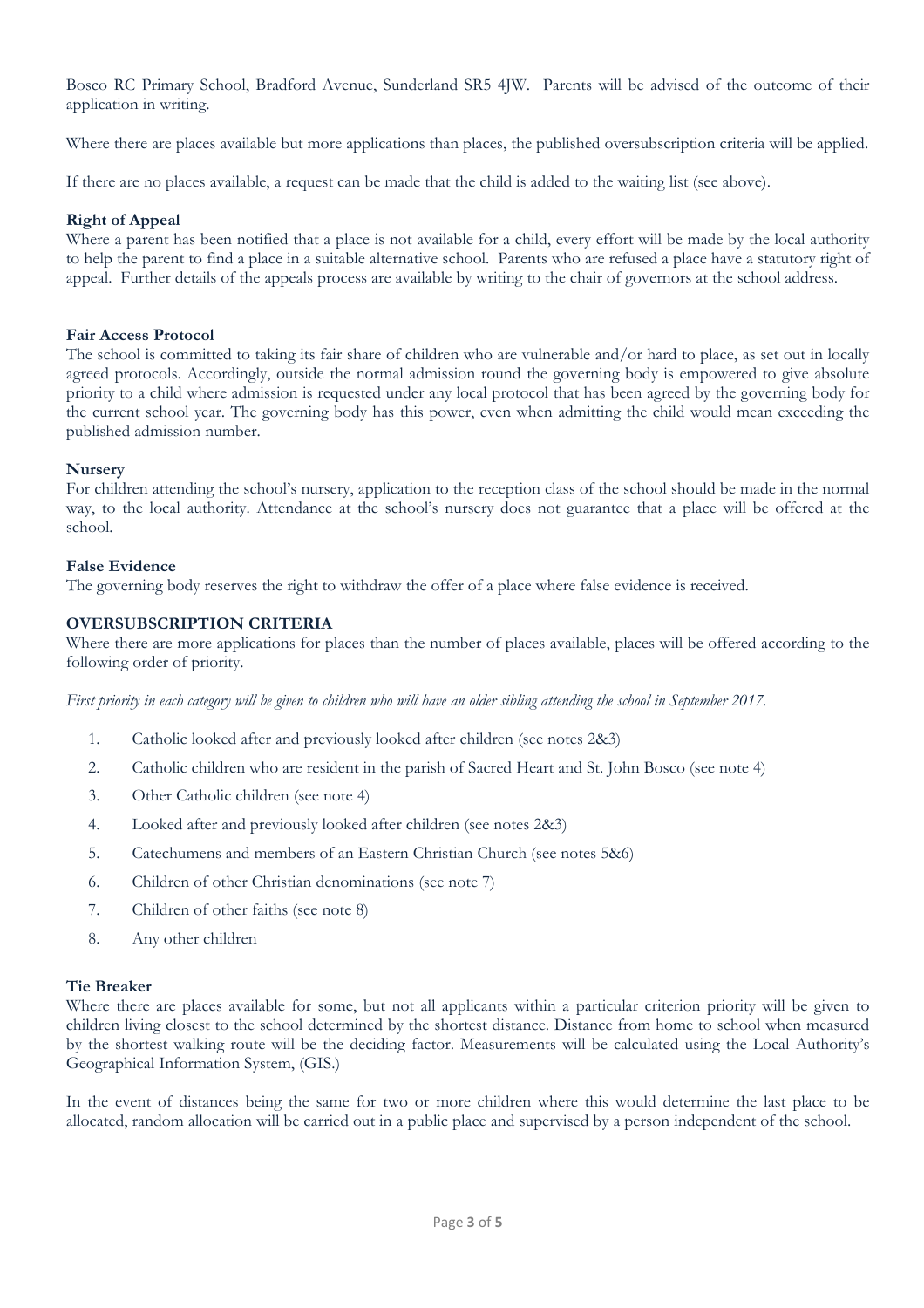Bosco RC Primary School, Bradford Avenue, Sunderland SR5 4JW. Parents will be advised of the outcome of their application in writing.

Where there are places available but more applications than places, the published oversubscription criteria will be applied.

If there are no places available, a request can be made that the child is added to the waiting list (see above).

#### **Right of Appeal**

Where a parent has been notified that a place is not available for a child, every effort will be made by the local authority to help the parent to find a place in a suitable alternative school. Parents who are refused a place have a statutory right of appeal. Further details of the appeals process are available by writing to the chair of governors at the school address.

#### **Fair Access Protocol**

The school is committed to taking its fair share of children who are vulnerable and/or hard to place, as set out in locally agreed protocols. Accordingly, outside the normal admission round the governing body is empowered to give absolute priority to a child where admission is requested under any local protocol that has been agreed by the governing body for the current school year. The governing body has this power, even when admitting the child would mean exceeding the published admission number.

#### **Nursery**

For children attending the school's nursery, application to the reception class of the school should be made in the normal way, to the local authority. Attendance at the school's nursery does not guarantee that a place will be offered at the school.

# **False Evidence**

The governing body reserves the right to withdraw the offer of a place where false evidence is received.

# **OVERSUBSCRIPTION CRITERIA**

Where there are more applications for places than the number of places available, places will be offered according to the following order of priority.

*First priority in each category will be given to children who will have an older sibling attending the school in September 2017.* 

- 1. Catholic looked after and previously looked after children (see notes 2&3)
- 2. Catholic children who are resident in the parish of Sacred Heart and St. John Bosco (see note 4)
- 3. Other Catholic children (see note 4)
- 4. Looked after and previously looked after children (see notes 2&3)
- 5. Catechumens and members of an Eastern Christian Church (see notes 5&6)
- 6. Children of other Christian denominations (see note 7)
- 7. Children of other faiths (see note 8)
- 8. Any other children

#### **Tie Breaker**

Where there are places available for some, but not all applicants within a particular criterion priority will be given to children living closest to the school determined by the shortest distance. Distance from home to school when measured by the shortest walking route will be the deciding factor. Measurements will be calculated using the Local Authority's Geographical Information System, (GIS.)

In the event of distances being the same for two or more children where this would determine the last place to be allocated, random allocation will be carried out in a public place and supervised by a person independent of the school.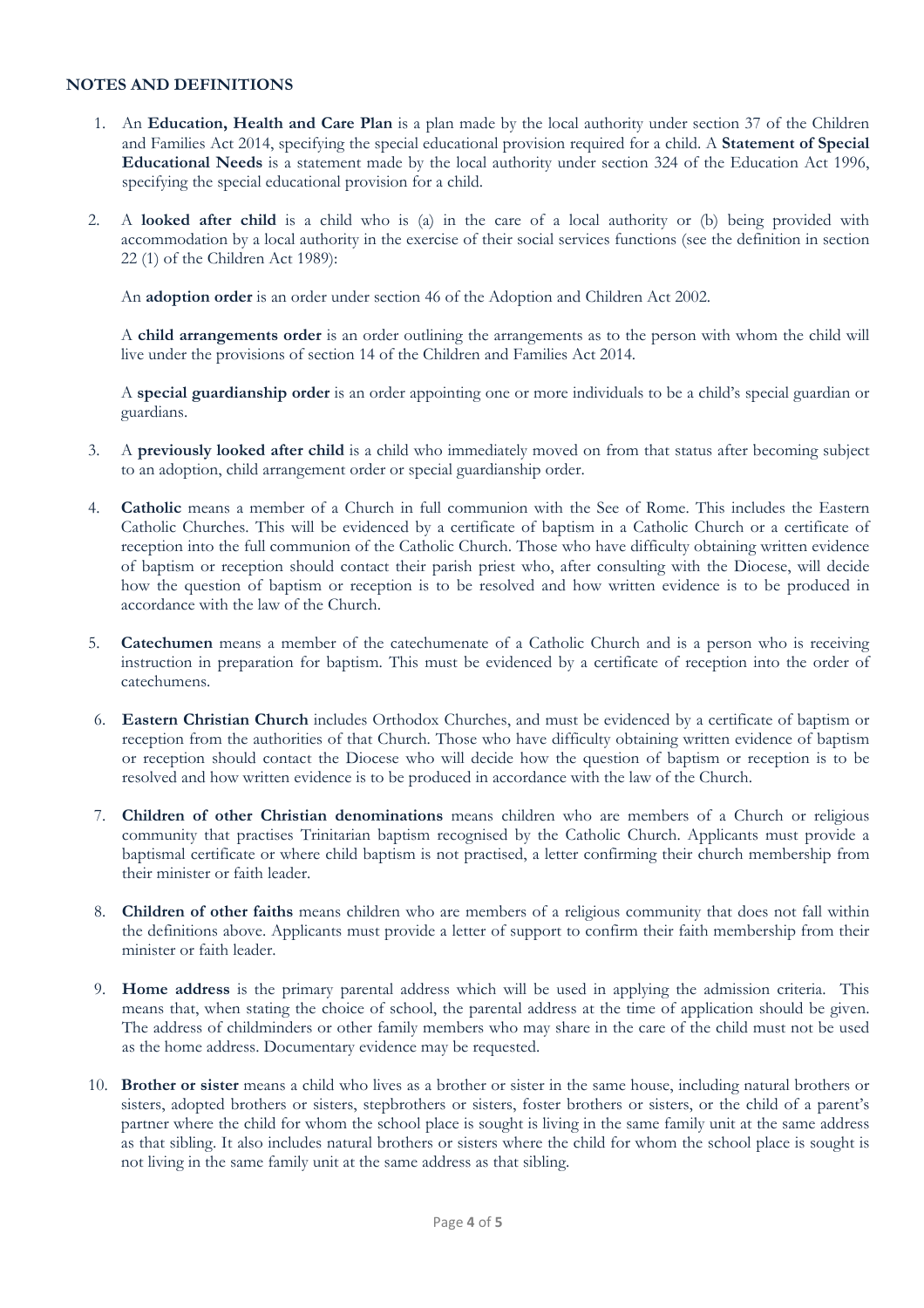# **NOTES AND DEFINITIONS**

- 1. An **Education, Health and Care Plan** is a plan made by the local authority under section 37 of the Children and Families Act 2014, specifying the special educational provision required for a child. A **Statement of Special Educational Needs** is a statement made by the local authority under section 324 of the Education Act 1996, specifying the special educational provision for a child.
- 2. A **looked after child** is a child who is (a) in the care of a local authority or (b) being provided with accommodation by a local authority in the exercise of their social services functions (see the definition in section 22 (1) of the Children Act 1989):

An **adoption order** is an order under section 46 of the Adoption and Children Act 2002.

A **child arrangements order** is an order outlining the arrangements as to the person with whom the child will live under the provisions of section 14 of the Children and Families Act 2014.

A **special guardianship order** is an order appointing one or more individuals to be a child's special guardian or guardians.

- 3. A **previously looked after child** is a child who immediately moved on from that status after becoming subject to an adoption, child arrangement order or special guardianship order.
- 4. **Catholic** means a member of a Church in full communion with the See of Rome. This includes the Eastern Catholic Churches. This will be evidenced by a certificate of baptism in a Catholic Church or a certificate of reception into the full communion of the Catholic Church. Those who have difficulty obtaining written evidence of baptism or reception should contact their parish priest who, after consulting with the Diocese, will decide how the question of baptism or reception is to be resolved and how written evidence is to be produced in accordance with the law of the Church.
- 5. **Catechumen** means a member of the catechumenate of a Catholic Church and is a person who is receiving instruction in preparation for baptism. This must be evidenced by a certificate of reception into the order of catechumens.
- 6. **Eastern Christian Church** includes Orthodox Churches, and must be evidenced by a certificate of baptism or reception from the authorities of that Church. Those who have difficulty obtaining written evidence of baptism or reception should contact the Diocese who will decide how the question of baptism or reception is to be resolved and how written evidence is to be produced in accordance with the law of the Church.
- 7. **Children of other Christian denominations** means children who are members of a Church or religious community that practises Trinitarian baptism recognised by the Catholic Church. Applicants must provide a baptismal certificate or where child baptism is not practised, a letter confirming their church membership from their minister or faith leader.
- 8. **Children of other faiths** means children who are members of a religious community that does not fall within the definitions above. Applicants must provide a letter of support to confirm their faith membership from their minister or faith leader.
- 9. **Home address** is the primary parental address which will be used in applying the admission criteria. This means that, when stating the choice of school, the parental address at the time of application should be given. The address of childminders or other family members who may share in the care of the child must not be used as the home address. Documentary evidence may be requested.
- 10. **Brother or sister** means a child who lives as a brother or sister in the same house, including natural brothers or sisters, adopted brothers or sisters, stepbrothers or sisters, foster brothers or sisters, or the child of a parent's partner where the child for whom the school place is sought is living in the same family unit at the same address as that sibling. It also includes natural brothers or sisters where the child for whom the school place is sought is not living in the same family unit at the same address as that sibling.